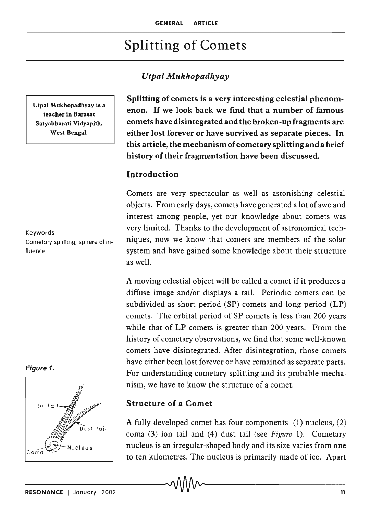# Splitting of Comets

### *UtpalA4ukhopadhyay*

Utpal Mukhopadhyay is a teacher in Barasat Satyabharati Vidyapith, West Bengal.

Keywords Cometary splitting, sphere of influence.

### Figure 1.



Splitting of comets is a very interesting celestial phenomenon. If we look back we find that a number of famous comets have disintegrated and the broken-up fragments are either lost forever or have survived as separate pieces. In this article, the mechanism of cometary splitting and a brief history of their fragmentation have been discussed.

### Introduction

Comets are very spectacular as well as astonishing celestial objects. From early days, comets have generated a lot of awe and interest among people, yet our knowledge about comets was very limited. Thanks to the development of astronomical techniques, now we know that comets are members of the solar system and have gained some knowledge about their structure as well.

A moving celestial object will be called a comet if it produces a diffuse image and/or displays a tail. Periodic comets can be subdivided as short period (SP) comets and long period (LP) comets. The orbital period of SP comets is less than 200 years while that of LP comets is greater than 200 years. From the history of cometary observations, we find that some well-known comets have disintegrated. After disintegration, those comets have either been lost forever or have remained as separate parts. For understanding cometary splitting and its probable mechanism, we have to know the structure of a comet.

### Structure of a Comet

A fully developed comet has four components (1) nucleus, (2) coma (3) ion tail and (4) dust tail (see *Figure* 1). Cometary nucleus is an irregular-shaped body and its size varies from one to ten kilometres. The nucleus is primarily made of ice. Apart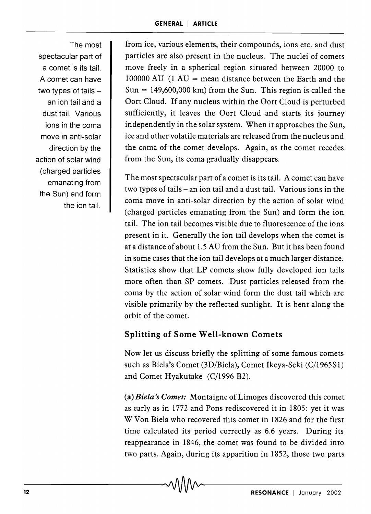The most spectacular part of a comet is its tail. A comet can have two types of tails  $$ an ion tail and a dust tail. Various ions in the coma move in anti-solar direction by the action of solar wind (charged particles emanating from the Sun) and form the ion tail.

from ice, various elements, their compounds, ions etc. and dust particles are also present in the nucleus. The nuclei of comets move freely in a spherical region situated between 20000 to 100000 AU  $(1 \text{ AU} = \text{mean distance between the Earth and the})$  $Sun = 149,600,000$  km) from the Sun. This region is called the Oort Cloud. If any nucleus within the Oort Cloud is perturbed sufficiently, it leaves the Oort Cloud and starts its journey independently in the solar system. When it approaches the Sun, ice and other volatile materials are released from the nucleus and the coma of the comet develops. Again, as the comet recedes from the Sun, its coma gradually disappears.

The most spectacular part of a comet is its tail. A comet can have two types of tails – an ion tail and a dust tail. Various ions in the coma move in anti-solar direction by the action of solar wind (charged particles emanating from the Sun) and form the ion tail. The ion tail becomes visible due to fluorescence of the ions present in it. Generally the ion tail develops when the comet is at a distance of about 1.5 AU from the Sun. But it has been found in some cases that the ion tail develops at a much larger distance. Statistics show that LP comets show fully developed ion tails more often than SP comets. Dust particles released from the coma by the action of solar wind form the dust tail which are visible primarily by the reflected sunlight. It is bent along the orbit of the comet.

# **Splitting of Some Well-known Comets**

Now let us discuss briefly the splitting of some famous comets such as Biela's Comet (3D/Biela), Comet Ikeya-Seki (C/1965S1) and Comet Hyakutake (C/1996 B2).

(a) *Biela's Comet:* Montaigne of Limoges discovered this comet as early as in 1772 and Pons rediscovered it in 1805: yet it was W Von Biela who recovered this comet in 1826 and for the first time calculated its period correctly as 6.6 years. During its reappearance in 1846, the comet was found to be divided into two parts. Again, during its apparition in 1852, those two parts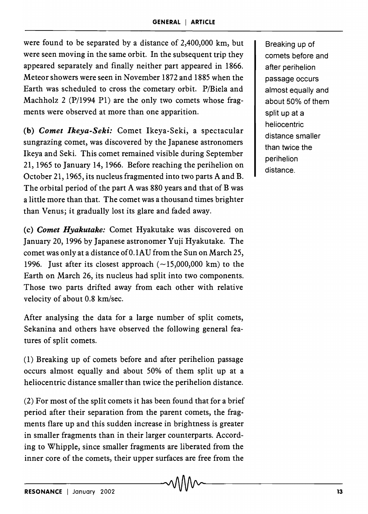were found to be separated by a distance of 2,400,000 km, but were seen moving in the same orbit. In the subsequent trip they appeared separately and finally neither part appeared in 1866. Meteor showers were seen in November 1872 and 1885 when the Earth was scheduled to cross the cometary orbit. P/Bieia and Machholz 2 (P/1994 PI) are the only two comets whose fragments were observed at more than one apparition.

(b) *Comet Ikeya-Seki:* Comet Ikeya-Seki, a spectacular sungrazing comet, was discovered by the Japanese astronomers Ikeya and Seki. This comet remained visible during September 21, 1965 to January 14, 1966. Before reaching the perihelion on October 21, 1965, its nucleus fragmented into two parts A and B. The orbital period of the part A was 880 years and that of B was a little more than that. The comet was a thousand times brighter than Venus; it gradually lost its glare and faded away.

(c) *Comet Hyakutake:* Comet Hyakutake was discovered on January 20, 1996 by Japanese astronomer Yuji Hyakutake. The comet was only at a distance of 0.1AU from the Sun on March 25, 1996. Just after its closest approach  $(-15,000,000 \text{ km})$  to the Earth on March 26, its nucleus had split into two components. Those two parts drifted away from each other with relative velocity of about 0.8 km/sec.

After analysing the data for a large number of split comets, Sekanina and others have observed the following general features of split comets.

(1) Breaking up of comets before and after perihelion passage occurs almost equally and about 50% of them split up at a heliocentric distance smaller than twice the perihelion distance.

(2) For most of the split comets it has been found that for a brief period after their separation from the parent comets, the fragments flare up and this sudden increase in brightness is greater in smaller fragments than in their larger counterparts. According to Whipple, since smaller fragments are liberated from the inner core of the comets, their upper surfaces are free from the

Breaking up of comets before and after perihelion passage occurs almost equally and about 50% of them split up at a heliocentric distance smaller than twice the perihelion distance.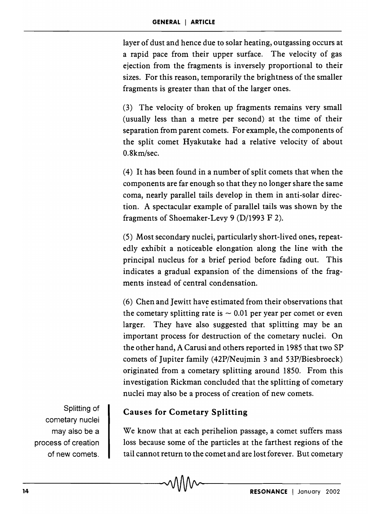layer of dust and hence due to solar heating, outgassing occurs at a rapid pace from their upper surface. The velocity of gas ejection from the fragments is inversely proportional to their sizes. For this reason, temporarily the brightness of the smaller fragments is greater than that of the larger ones.

(3) The velocity of broken up fragments remains very small (usually less than a metre per second) at the time of their separation from parent comets. For example, the components of the split comet Hyakutake had a relative velocity of about 0.8km/sec.

(4) It has been found in a number of split comets that when the components are far enough so that they no longer share the same coma, nearly parallel tails develop in them in anti-solar direction. A spectacular example of parallel tails was shown by the fragments of Shoemaker-Levy 9 (D/1993 F 2).

(5) Most secondary nuclei, particularly short-lived ones, repeatedly exhibit a noticeable elongation along the line with the principal nucleus for a brief period before fading out. This indicates a gradual expansion of the dimensions of the fragments instead of central condensation.

(6) Chen and Jewitt have estimated from their observations that the cometary splitting rate is  $\sim 0.01$  per year per comet or even larger. They have also suggested that splitting may be an important process for destruction of the cometary nuclei. On the other hand, A Carusi and others reported in 1985 that two SP comets of Jupiter family (42P/Neujmin 3 and 53P/Biesbroeck) originated from a cometary splitting around 1850. From this investigation Rickman concluded that the splitting of cometary nuclei may also be a process of creation of new comets.

Splitting of cometary nuclei may also be a process of creation of new comets.

# **Causes for Cometary Splitting**

We know that at each perihelion passage, a comet suffers mass loss because some of the particles at the farthest regions of the tail cannot return to the comet and are lost forever. But cometary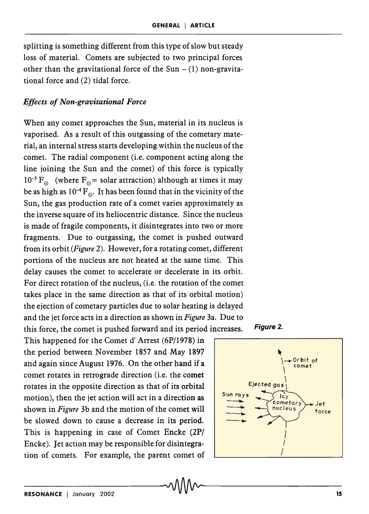splitting is something different from this type of slow but steady loss of material. Comets are subjected to two principal forces other than the gravitational force of the Sun  $- (1)$  non-gravitational force and (2) tidal force.

#### *Effects of Non-gravitational Force*

When any coinet approaches the Sun, material in its nucleus is vaporised. As a result of this outgassing of the cometary material, an internal stress starts developing within the nucleus of the comet. The radial component (i.e. component acting along the line joining the Sun and the comet) of this force is typically  $10^{-5}$  F<sub>o</sub> (where F<sub>o</sub>= solar attraction) although at times it may be as high as  $10^{-4}$  F<sub>o</sub>. It has been found that in the vicinity of the Sun, the gas production rate of a comet varies approximately as the inverse square of its heliocentric distance. Since the nucleus is made of fragile components, it disintegrates into two or more fragments. Due to outgassing, the comet is pushed outward from its orbit *(Figure* 2). However, for a rotating comet, different portions of the nucleus are not heated at the same time. This delay causes the comet to accelerate or decelerate in its orbit. For direct rotation of the nucleus, (i.e. the rotation of the comet takes place in the same direction as that of its orbital motion) the ejection of cometary particles due to solar heating is delayed and the jet force acts in a direction as shown in *Figure* 3a. Due to this force, the comet is pushed forward and its period increases. Figure 2.

This happened for the Comet d' Arrest (6P/1978) in the period between November 1857 and May 1897 and again since August 1976. On the other hand if a comet rotates in retrograde direction (i.e. the comet rotates in the opposite direction as that of its orbital motion), then the jet action will act in a direction as shown in *Figure* 3b and the motion of the comet will be slowed down to cause a decrease in its period. This is happening in case of Comet Encke (2P/ Encke). Jet action may be responsible for disintegration of comets. For example, the parent comet of



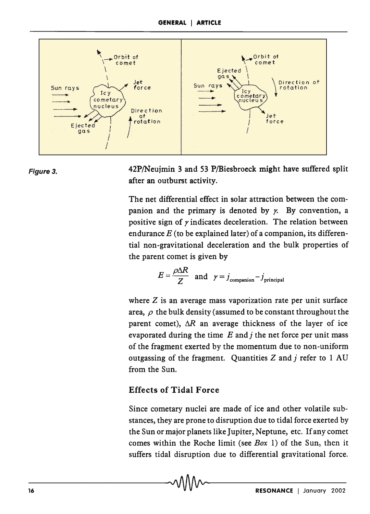



42P/Neujmin 3 and 53 P/Biesbroeck might have suffered split after an outburst activity.

The net differential effect in solar attraction between the companion and the primary is denoted by  $\chi$ . By convention, a positive sign of  $\gamma$  indicates deceleration. The relation between endurance  $E$  (to be explained later) of a companion, its differential non-gravitational deceleration and the bulk properties of the parent comet is given by

$$
E = \frac{\rho \Delta R}{Z} \quad \text{and} \quad \gamma = j_{\text{companion}} - j_{\text{principal}}
$$

where  $Z$  is an average mass vaporization rate per unit surface area,  $\rho$  the bulk density (assumed to be constant throughout the parent comet),  $\Delta R$  an average thickness of the layer of ice evaporated during the time  $E$  and  $j$  the net force per unit mass of the fragment exerted by the momentum due to non-uniform outgassing of the fragment. Quantities  $Z$  and  $j$  refer to 1 AU from the Sun.

# Effects of Tidal Force

Since cometary nuclei are made of ice and other volatile substances, they are prone to disruption due to tidal force exerted by the Sun or major planets like Jupiter, Neptune, etc. If any comet comes within the Roche limit (see *Box* 1) of the Sun, then it suffers tidal disruption due to differential gravitational force.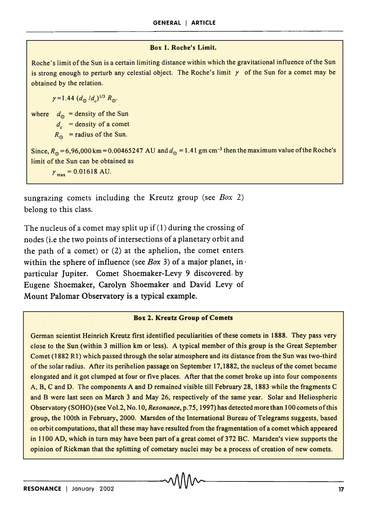#### Box 1. Roche's Limit.

Roche's limit of the Sun is a certain limiting distance within which the gravitational influence of the Sun is strong enough to perturb any celestial object. The Roche's limit  $\gamma$  of the Sun for a comet may be obtained by the relation.

 $\gamma = 1.44 (d_{\odot}/d_{\circ})^{1/3} R_{\odot}$ .

where  $d_{\odot}$  = density of the Sun  $d_e$  = density of a comet  $R_{\odot}$  = radius of the Sun. Since,  $R_{\odot} = 6,96,000$  km = 0.00465247 AU and  $d_{\odot} = 1.41$  gm cm<sup>-3</sup> then the maximum value of the Roche's limit of the Sun can be obtained as  $\gamma_{\text{max}} = 0.01618 \text{ AU}.$ 

sungrazing comets including the Kreutz group (see *Box 2)*  belong to this class.

The nucleus of a comet may split up if (1) during the crossing of nodes (i.e the two points of intersections of a planetary orbit and the path of a comet) or (2) at the aphelion, the comet enters within the sphere of influence (see *Box* 3) of a major planet, in· particular Jupiter. Comet Shoemaker-Levy 9 discovered. by Eugene Shoemaker, Carolyn Shoemaker and David Levy of Mount Palomar Observatory is a typical example.

#### Box 2. Kreutz Group of Comets

German scientist Heinrich Kreutz first identified peculiarities of these comets in 1888. They pass very close to the Sun (within 3 million km or less). A typical member of this group is the Great September Comet (1882 R 1) which passed through the solar atmosphere and its distance from the Sun was two-third of the solar radius. After its perihelion passage on September 17,1882, the nucleus of the comet became elongated and it got clumped at four or five places. After that the comet broke up into four components A, B, C and D. The components A and D remained visible till February 28, 1883 while the fragments C and B were last seen on March 3 and May 26, respectively of the same year. Solar and Heliospheric Observatory (SOHO) (see Vo1.2, No.1 0, *Resonance,* p.75, 1997) has detected more than 100 comets of this group, the 100th in February, 2000. Marsden of the International Bureau of Telegrams suggests, based on orbit computations, that all these may have resulted from the fragmentation of a comet which appeared in 1100 AD, which in turn may have been part of a great comet of 372 BC. Marsden's view supports the opinion of Rickman that the splitting of cometary nuclei may be a process of creation of new comets.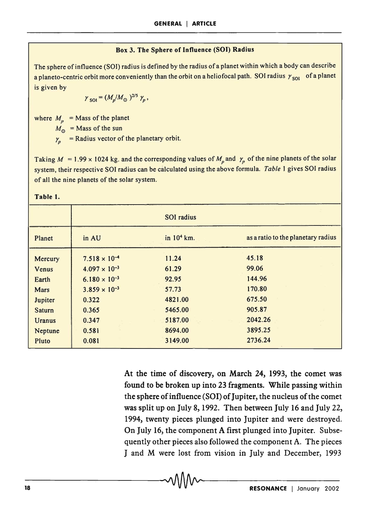#### Box 3. The Sphere of Influence (SOl) Radius

The sphere of influence (SOI) radius is defined by the radius of a planet within which a body can describe a planeto-centric orbit more conveniently than the orbit on a heliofocal path. SOI radius  $\gamma_{\text{sol}}$  of a planet is given by

$$
\gamma_{\rm SOI} = (M_p/M_\odot)^{2/5} \gamma_p,
$$

where  $M_n$  = Mass of the planet

 $M_{\odot}$  = Mass of the sun

 $y_p$  = Radius vector of the planetary orbit.

Taking  $M = 1.99 \times 1024$  kg. and the corresponding values of  $M_p$  and  $\gamma_p$  of the nine planets of the solar system, their respective SOl radius can be calculated using the above formula. *Table* 1 gives SOl radius of all the nine planets of the solar system.

|               | <b>SOI</b> radius      |              |                                    |  |
|---------------|------------------------|--------------|------------------------------------|--|
| Planet        | in AU                  | in $104$ km. | as a ratio to the planetary radius |  |
| Mercury       | $7.518 \times 10^{-4}$ | 11.24        | 45.18                              |  |
| Venus         | $4.097 \times 10^{-3}$ | 61.29        | 99.06                              |  |
| Earth         | $6.180 \times 10^{-3}$ | 92.95        | 144.96                             |  |
| <b>Mars</b>   | $3.859 \times 10^{-3}$ | 57.73        | 170.80                             |  |
| Jupiter       | 0.322                  | 4821.00      | 675.50                             |  |
| <b>Saturn</b> | 0.365                  | 5465.00      | 905.87                             |  |
| <b>Uranus</b> | 0.347                  | 5187.00      | 2042.26                            |  |
| Neptune       | 0.581                  | 8694.00      | 3895.25                            |  |
| Pluto         | 0.081                  | 3149.00      | 2736.24                            |  |

At the time of discovery, on March 24, 1993, the comet was found to be broken up into 23 fragments. While passing within the sphere of influence (SOl) of Jupiter, the nucleus of the comet was split up on July 8, 1992. Then between July 16 and July 22, 1994, twenty pieces plunged into Jupiter and were destroyed. On July 16, the component A first plunged into Jupiter. Subsequently other pieces also followed the component A. The pieces J and M were lost from vision in July and December, 1993

#### Table l.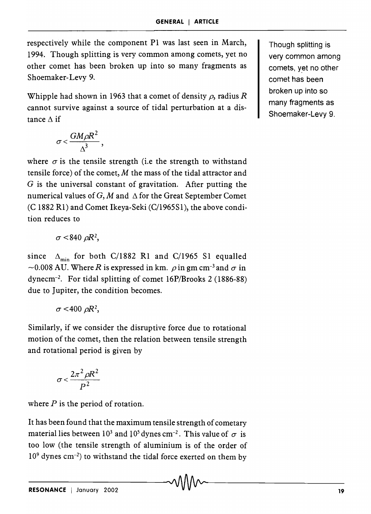respectively while the component PI was last seen in March, 1994. Though splitting is very common among comets, yet no other comet has been broken up into so many fragments as Shoemaker-Levy 9..

Whipple had shown in 1963 that a comet of density  $\rho$ , radius R cannot survive against a source of tidal perturbation at a distance  $\Delta$  if

$$
\sigma < \frac{GM\rho R^2}{\Delta^3},
$$

where  $\sigma$  is the tensile strength (i.e the strength to withstand tensile force) of the comet, M the mass of the tidal attractor and G is the universal constant of gravitation. After putting the numerical values of  $G$ , M and  $\Delta$  for the Great September Comet (C 1882 Rl) and Comet Ikeya-Seki (C/1965S1), the above condition reduces to

$$
\sigma<840~\rho R^2,
$$

since  $\Delta_{\text{min}}$  for both C/1882 R1 and C/1965 S1 equalled  $\sim$ 0.008 AU. Where R is expressed in km.  $\rho$  in gm cm<sup>-3</sup> and  $\sigma$  in dynecm-2• For tidal splitting of comet 16P/Brooks 2 (1886-88) due to Jupiter, the condition becomes.

$$
\sigma<400 \ \rho R^2,
$$

Similarly, if we consider the disruptive force due to rotational motion of the comet, then the relation between tensile strength and rotational period is given by

$$
\sigma < \frac{2\pi^2 \rho R^2}{P^2}
$$

where  $P$  is the period of rotation.

It has been found that the maximum tensile strength of cometary material lies between 10<sup>3</sup> and 10<sup>5</sup> dynes cm<sup>-2</sup>. This value of  $\sigma$  is too low (the tensile strength of aluminium is of the order of  $10<sup>9</sup>$  dynes cm<sup>-2</sup>) to withstand the tidal force exerted on them by

Though splitting is very common among comets, yet no other comet has been broken up into so many fragments as Shoemaker-Levy 9.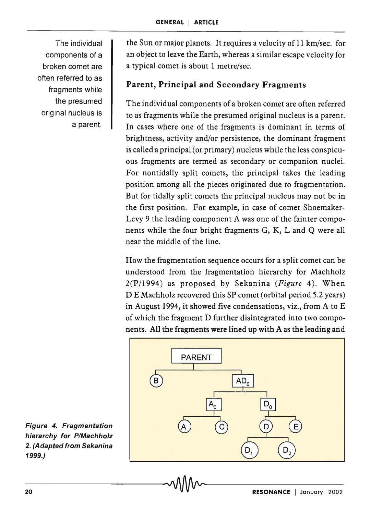The individual components of a broken comet are often referred to as fragments while the presumed original nucleus is a parent.

the Sun or major planets. It requires a velocity of 11 km/sec. for an object to leave the Earth, whereas a similar escape velocity for a typical comet is about 1 metre/sec.

# Parent, Principal and Secondary Fragments

The individual components of a broken comet are often referred to as fragments while the presumed original nucleus is a parent. In cases where one of the fragments is dominant in terms of brightness, activity and/or persistence, the dominant fragment is called a principal (or primary) nucleus while the less conspicuous fragments are termed as secondary or companion nuclei. For nontidally split comets, the principal takes the leading position among all the pieces originated due to fragmentation. But for tidally split comets the principal nucleus may not be in the first position. For example, in case of comet Shoemaker-Levy 9 the leading component A was one of the fainter components while the four bright fragments G, K, Land Q were all near the middle of the line.

How the fragmentation sequence occurs for a split comet can be understood from the fragmentation hierarchy for Machholz 2(P /1994) as proposed by Sekanina *(Figure* 4). When DE Machholz recovered this SP comet (orbital period 5.2 years) in August 1994, it showed five condensations, viz., from A to E of which the fragment D further disintegrated into two components. All the fragments were lined up with A as the leading and



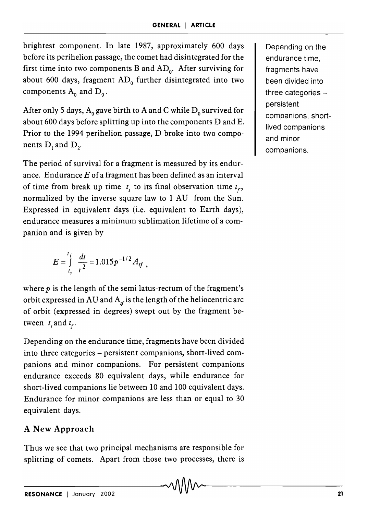brightest component. In late 1987, approximately 600 days before its perihelion passage, the comet had disintegrated for the first time into two components B and  $AD_0$ . After surviving for about 600 days, fragment  $AD_0$  further disintegrated into two components  $A_0$  and  $D_0$ .

After only 5 days,  $A_0$  gave birth to A and C while  $D_0$  survived for about 600 days before splitting up into the components D and E. Prior to the 1994 perihelion passage, D broke into two components  $D_i$  and  $D_j$ .

The period of survival for a fragment is measured by its endurance. Endurance *E* of a fragment has been defined as an interval of time from break up time  $t<sub>s</sub>$  to its final observation time  $t<sub>r</sub>$ , normalized by the inverse square law to 1 AU from the Sun. Expressed in equivalent days (i.e. equivalent to Earth days), endurance measures a minimum sublimation lifetime of a companion and is given by

$$
E = \int_{t_s}^{t_f} \frac{dt}{r^2} = 1.015 p^{-1/2} A_{sf}
$$

where  $p$  is the length of the semi latus-rectum of the fragment's orbit expressed in AU and  $A<sub>sf</sub>$  is the length of the heliocentric arc of orbit (expressed in degrees) swept out by the fragment between  $t_{\epsilon}$  and  $t_{\epsilon}$ .

Depending on the endurance time, fragments have been divided into three categories - persistent companions, short-lived companions and minor companions. For persistent companions endurance exceeds 80 equivalent days, while endurance for short-lived companions lie between 10 and 100 equivalent days. Endurance for minor companions are less than or equal to 30 equivalent days.

# ANew Approach

Thus we see that two principal mechanisms are responsible for splitting of comets. Apart from those two processes, there is Depending on the endurance time, fragments have been divided into three categories  $$ persistent companions, shortlived companions and minor companions.